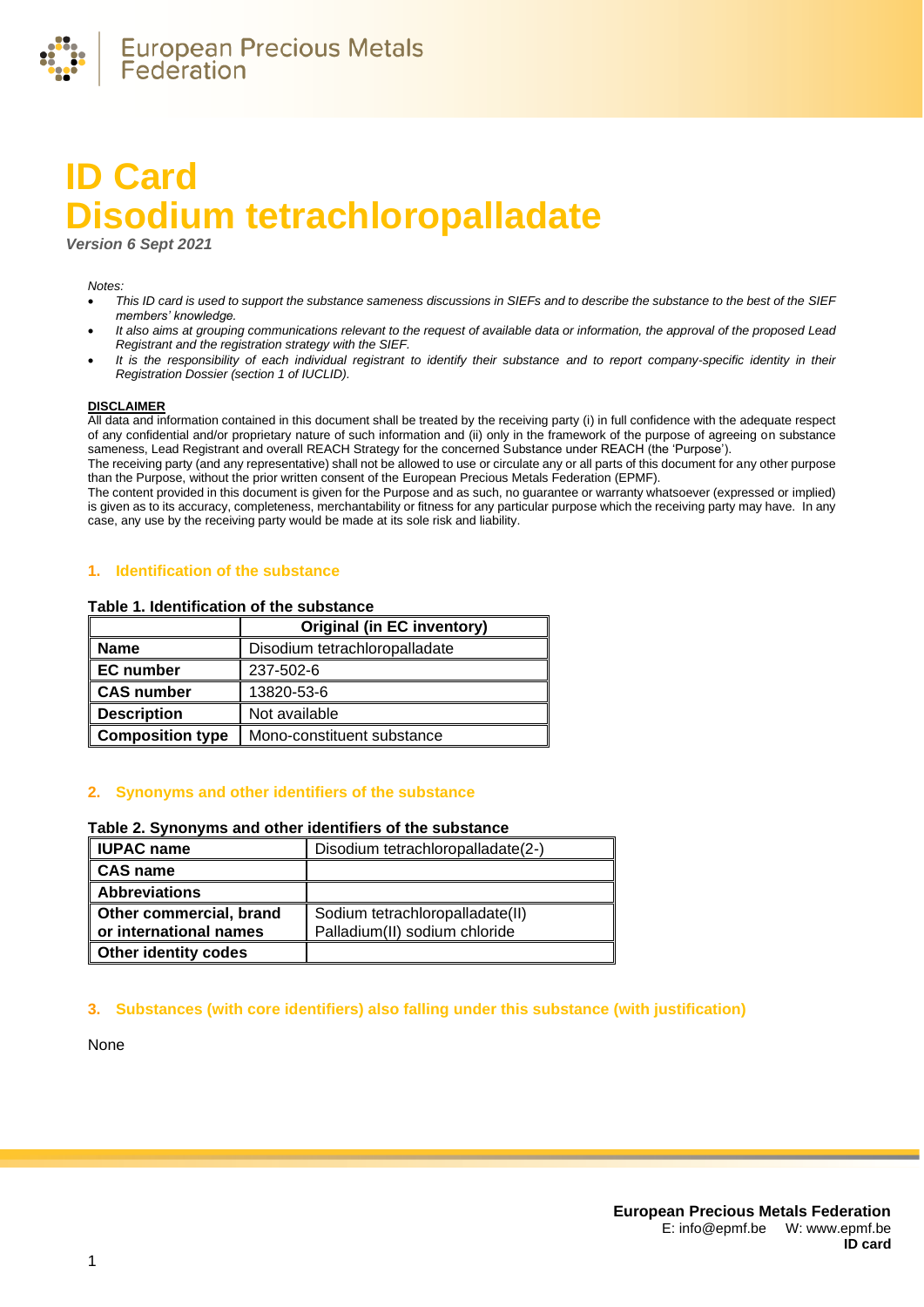

# **ID Card Disodium tetrachloropalladate**

*Version 6 Sept 2021*

#### *Notes:*

- *This ID card is used to support the substance sameness discussions in SIEFs and to describe the substance to the best of the SIEF members' knowledge.*
- *It also aims at grouping communications relevant to the request of available data or information, the approval of the proposed Lead Registrant and the registration strategy with the SIEF.*
- *It is the responsibility of each individual registrant to identify their substance and to report company-specific identity in their Registration Dossier (section 1 of IUCLID).*

#### **DISCLAIMER**

All data and information contained in this document shall be treated by the receiving party (i) in full confidence with the adequate respect of any confidential and/or proprietary nature of such information and (ii) only in the framework of the purpose of agreeing on substance sameness, Lead Registrant and overall REACH Strategy for the concerned Substance under REACH (the 'Purpose').

The receiving party (and any representative) shall not be allowed to use or circulate any or all parts of this document for any other purpose than the Purpose, without the prior written consent of the European Precious Metals Federation (EPMF).

The content provided in this document is given for the Purpose and as such, no guarantee or warranty whatsoever (expressed or implied) is given as to its accuracy, completeness, merchantability or fitness for any particular purpose which the receiving party may have. In any case, any use by the receiving party would be made at its sole risk and liability.

#### **1. Identification of the substance**

#### **Table 1. Identification of the substance**

|                         | Original (in EC inventory)    |  |
|-------------------------|-------------------------------|--|
| <b>Name</b>             | Disodium tetrachloropalladate |  |
| <b>EC</b> number        | 237-502-6                     |  |
| <b>CAS number</b>       | 13820-53-6                    |  |
| <b>Description</b>      | Not available                 |  |
| <b>Composition type</b> | Mono-constituent substance    |  |

## **2. Synonyms and other identifiers of the substance**

#### **Table 2. Synonyms and other identifiers of the substance**

| <b>IUPAC name</b>           | Disodium tetrachloropalladate(2-) |
|-----------------------------|-----------------------------------|
| CAS name                    |                                   |
| <b>Abbreviations</b>        |                                   |
| Other commercial, brand     | Sodium tetrachloropalladate(II)   |
| or international names      | Palladium(II) sodium chloride     |
| <b>Other identity codes</b> |                                   |

## **3. Substances (with core identifiers) also falling under this substance (with justification)**

None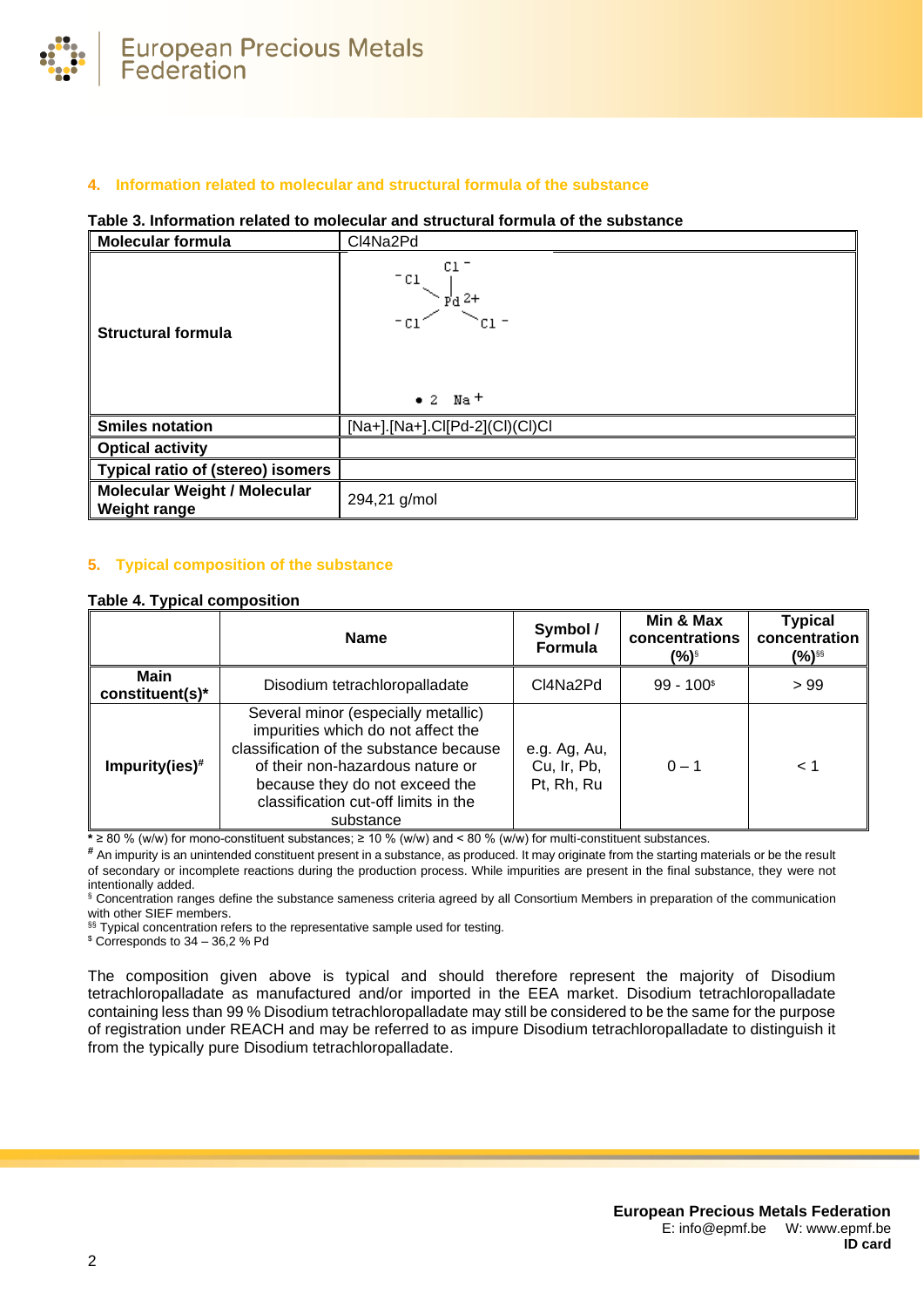

# **4. Information related to molecular and structural formula of the substance**

## **Table 3. Information related to molecular and structural formula of the substance**

| Molecular formula                                          | CI4Na2Pd                                                                            |  |
|------------------------------------------------------------|-------------------------------------------------------------------------------------|--|
| <b>Structural formula</b>                                  | C1<br>$e^{-c_1}$ $\vee$ $\frac{1}{2}$ $\frac{1}{2}$<br>$\bullet$ 2  Na <sup>+</sup> |  |
| <b>Smiles notation</b>                                     | $[Na+]$ . $[Na+]$ .Cl $[Pd-2]$ $(Cl)$ Cl $)$ Cl                                     |  |
| <b>Optical activity</b>                                    |                                                                                     |  |
| <b>Typical ratio of (stereo) isomers</b>                   |                                                                                     |  |
| <b>Molecular Weight / Molecular</b><br><b>Weight range</b> | 294,21 g/mol                                                                        |  |

## **5. Typical composition of the substance**

#### <span id="page-1-0"></span>**Table 4. Typical composition**

|                                | <b>Name</b>                                                                                                                                                                                                                                     | Symbol /<br><b>Formula</b>                | Min & Max<br>concentrations<br>(%)§ | <b>Typical</b><br>concentration<br>(%)§§ |
|--------------------------------|-------------------------------------------------------------------------------------------------------------------------------------------------------------------------------------------------------------------------------------------------|-------------------------------------------|-------------------------------------|------------------------------------------|
| <b>Main</b><br>constituent(s)* | Disodium tetrachloropalladate                                                                                                                                                                                                                   | Cl4Na2Pd                                  | $99 - 100$ <sup>\$</sup>            | >99                                      |
| Impurity(ies) $*$              | Several minor (especially metallic)<br>impurities which do not affect the<br>classification of the substance because<br>of their non-hazardous nature or<br>because they do not exceed the<br>classification cut-off limits in the<br>substance | e.g. Ag, Au,<br>Cu, Ir, Pb,<br>Pt, Rh, Ru | $0 - 1$                             | 1 >                                      |

**\*** ≥ 80 % (w/w) for mono-constituent substances; ≥ 10 % (w/w) and < 80 % (w/w) for multi-constituent substances.

**#** An impurity is an unintended constituent present in a substance, as produced. It may originate from the starting materials or be the result of secondary or incomplete reactions during the production process. While impurities are present in the final substance, they were not intentionally added.

§ Concentration ranges define the substance sameness criteria agreed by all Consortium Members in preparation of the communication with other SIEF members.

§§ Typical concentration refers to the representative sample used for testing.

 $$$  Corresponds to 34 – 36,2 % Pd

The composition given above is typical and should therefore represent the majority of Disodium tetrachloropalladate as manufactured and/or imported in the EEA market. Disodium tetrachloropalladate containing less than 99 % Disodium tetrachloropalladate may still be considered to be the same for the purpose of registration under REACH and may be referred to as impure Disodium tetrachloropalladate to distinguish it from the typically pure Disodium tetrachloropalladate.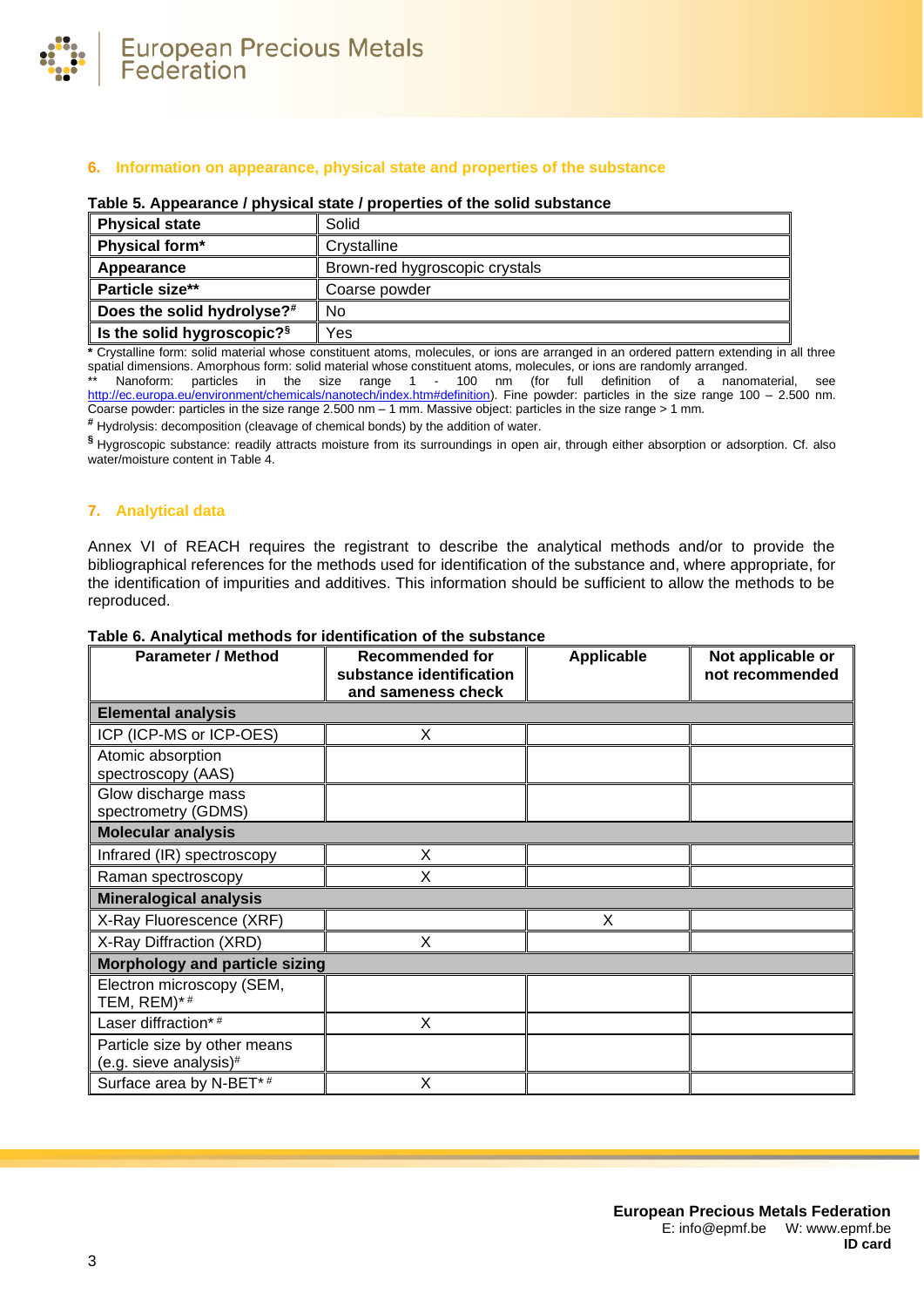

## **6. Information on appearance, physical state and properties of the substance**

#### **Table 5. Appearance / physical state / properties of the solid substance**

| <b>Physical state</b>                  | Solid                          |  |
|----------------------------------------|--------------------------------|--|
| Physical form*                         | Crystalline                    |  |
| Appearance                             | Brown-red hygroscopic crystals |  |
| Particle size**                        | Coarse powder                  |  |
| Does the solid hydrolyse?#             | No.                            |  |
| Is the solid hygroscopic? <sup>§</sup> | Yes                            |  |

**\*** Crystalline form: solid material whose constituent atoms, molecules, or ions are arranged in an ordered pattern extending in all three spatial dimensions. Amorphous form: solid material whose constituent atoms, molecules, or ions are randomly arranged.

\*\* Nanoform: particles in the size range 1 - 100 nm (for full definition of a nanomaterial, see [http://ec.europa.eu/environment/chemicals/nanotech/index.htm#definition\)](http://ec.europa.eu/environment/chemicals/nanotech/index.htm#definition). Fine powder: particles in the size range 100 – 2.500 nm. Coarse powder: particles in the size range 2.500 nm – 1 mm. Massive object: particles in the size range > 1 mm.

**#** Hydrolysis: decomposition (cleavage of chemical bonds) by the addition of water.

**§** Hygroscopic substance: readily attracts moisture from its surroundings in open air, through either absorption or adsorption. Cf. also water/moisture content i[n Table 4.](#page-1-0)

## **7. Analytical data**

Annex VI of REACH requires the registrant to describe the analytical methods and/or to provide the bibliographical references for the methods used for identification of the substance and, where appropriate, for the identification of impurities and additives. This information should be sufficient to allow the methods to be reproduced.

| <b>Parameter / Method</b>                              | <b>Recommended for</b><br>substance identification | Applicable | Not applicable or<br>not recommended |
|--------------------------------------------------------|----------------------------------------------------|------------|--------------------------------------|
|                                                        | and sameness check                                 |            |                                      |
| <b>Elemental analysis</b>                              |                                                    |            |                                      |
| ICP (ICP-MS or ICP-OES)                                | X                                                  |            |                                      |
| Atomic absorption<br>spectroscopy (AAS)                |                                                    |            |                                      |
| Glow discharge mass<br>spectrometry (GDMS)             |                                                    |            |                                      |
| <b>Molecular analysis</b>                              |                                                    |            |                                      |
| Infrared (IR) spectroscopy                             | X                                                  |            |                                      |
| Raman spectroscopy                                     | X                                                  |            |                                      |
| <b>Mineralogical analysis</b>                          |                                                    |            |                                      |
| X-Ray Fluorescence (XRF)                               |                                                    | X          |                                      |
| X-Ray Diffraction (XRD)                                | X                                                  |            |                                      |
| <b>Morphology and particle sizing</b>                  |                                                    |            |                                      |
| Electron microscopy (SEM,<br>TEM, REM)*#               |                                                    |            |                                      |
| Laser diffraction*#                                    | X                                                  |            |                                      |
| Particle size by other means<br>(e.g. sieve analysis)# |                                                    |            |                                      |
| Surface area by N-BET*#                                | X                                                  |            |                                      |

#### **Table 6. Analytical methods for identification of the substance**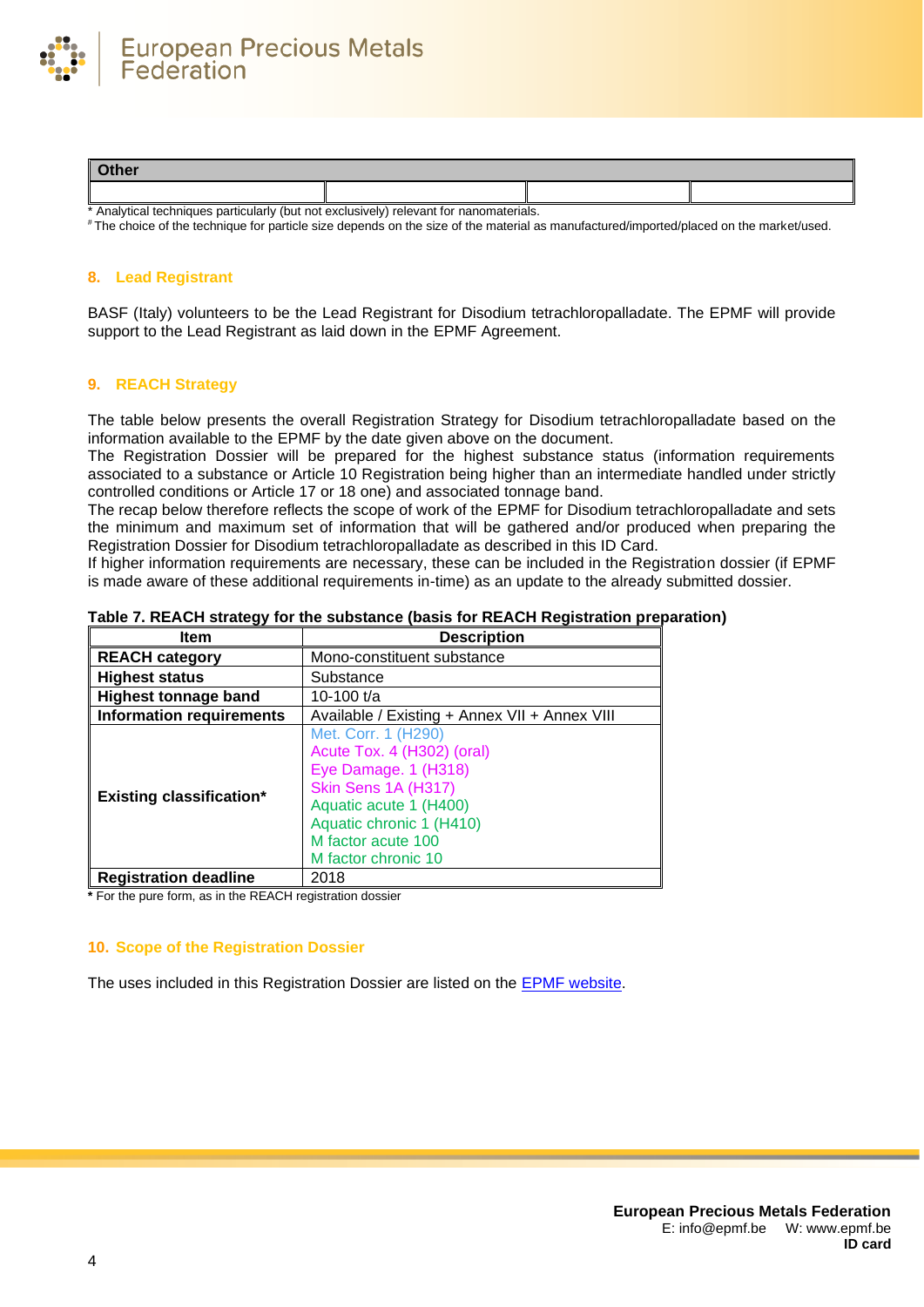

| Other                                                                                  |  |  |  |
|----------------------------------------------------------------------------------------|--|--|--|
|                                                                                        |  |  |  |
| * Analytical techniques particularly (but not exclusively) relevant for nanomaterials. |  |  |  |

# The choice of the technique for particle size depends on the size of the material as manufactured/imported/placed on the market/used.

## **8. Lead Registrant**

BASF (Italy) volunteers to be the Lead Registrant for Disodium tetrachloropalladate. The EPMF will provide support to the Lead Registrant as laid down in the EPMF Agreement.

## **9. REACH Strategy**

The table below presents the overall Registration Strategy for Disodium tetrachloropalladate based on the information available to the EPMF by the date given above on the document.

The Registration Dossier will be prepared for the highest substance status (information requirements associated to a substance or Article 10 Registration being higher than an intermediate handled under strictly controlled conditions or Article 17 or 18 one) and associated tonnage band.

The recap below therefore reflects the scope of work of the EPMF for Disodium tetrachloropalladate and sets the minimum and maximum set of information that will be gathered and/or produced when preparing the Registration Dossier for Disodium tetrachloropalladate as described in this ID Card.

If higher information requirements are necessary, these can be included in the Registration dossier (if EPMF is made aware of these additional requirements in-time) as an update to the already submitted dossier.

| Item                            | <b>Description</b>                                                                                                                                                                                  |  |
|---------------------------------|-----------------------------------------------------------------------------------------------------------------------------------------------------------------------------------------------------|--|
| <b>REACH category</b>           | Mono-constituent substance                                                                                                                                                                          |  |
| <b>Highest status</b>           | Substance                                                                                                                                                                                           |  |
| <b>Highest tonnage band</b>     | 10-100 t/a                                                                                                                                                                                          |  |
| <b>Information requirements</b> | Available / Existing + Annex VII + Annex VIII                                                                                                                                                       |  |
| <b>Existing classification*</b> | Met. Corr. 1 (H290)<br>Acute Tox. 4 (H302) (oral)<br>Eye Damage. 1 (H318)<br>Skin Sens 1A (H317)<br>Aquatic acute 1 (H400)<br>Aquatic chronic 1 (H410)<br>M factor acute 100<br>M factor chronic 10 |  |
| <b>Registration deadline</b>    | 2018                                                                                                                                                                                                |  |

## **Table 7. REACH strategy for the substance (basis for REACH Registration preparation)**

**\*** For the pure form, as in the REACH registration dossier

## **10. Scope of the Registration Dossier**

The uses included in this Registration Dossier are listed on the [EPMF website.](https://www.epmf.be/)